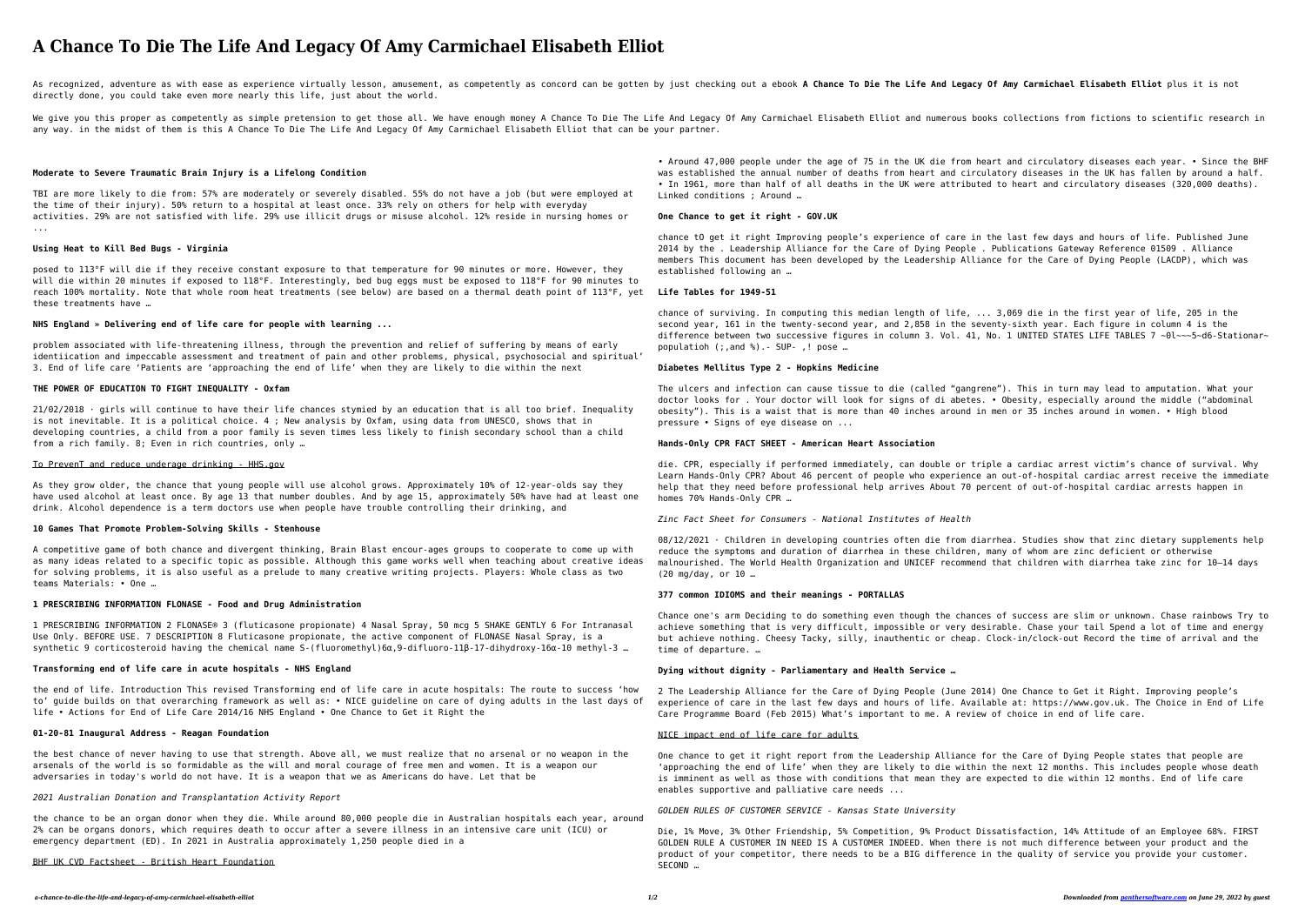# **A Chance To Die The Life And Legacy Of Amy Carmichael Elisabeth Elliot**

As recognized, adventure as with ease as experience virtually lesson, amusement, as competently as concord can be gotten by just checking out a ebook A Chance To Die The Life And Legacy Of Amy Carmichael Elisabeth Elliot p directly done, you could take even more nearly this life, just about the world.

We give you this proper as competently as simple pretension to get those all. We have enough money A Chance To Die The Life And Legacy Of Amy Carmichael Elisabeth Elliot and numerous books collections from fictions to scie any way. in the midst of them is this A Chance To Die The Life And Legacy Of Amy Carmichael Elisabeth Elliot that can be your partner.

#### **Moderate to Severe Traumatic Brain Injury is a Lifelong Condition**

TBI are more likely to die from: 57% are moderately or severely disabled. 55% do not have a job (but were employed at the time of their injury). 50% return to a hospital at least once. 33% rely on others for help with everyday activities. 29% are not satisfied with life. 29% use illicit drugs or misuse alcohol. 12% reside in nursing homes or ...

 $21/02/2018$  · girls will continue to have their life chances stymied by an education that is all too brief. Inequality is not inevitable. It is a political choice. 4 ; New analysis by Oxfam, using data from UNESCO, shows that in developing countries, a child from a poor family is seven times less likely to finish secondary school than a child from a rich family. 8; Even in rich countries, only …

#### **Using Heat to Kill Bed Bugs - Virginia**

posed to 113°F will die if they receive constant exposure to that temperature for 90 minutes or more. However, they will die within 20 minutes if exposed to 118°F. Interestingly, bed bug eggs must be exposed to 118°F for 90 minutes to reach 100% mortality. Note that whole room heat treatments (see below) are based on a thermal death point of 113°F, yet these treatments have …

#### **NHS England » Delivering end of life care for people with learning ...**

problem associated with life-threatening illness, through the prevention and relief of suffering by means of early identiication and impeccable assessment and treatment of pain and other problems, physical, psychosocial and spiritual' 3. End of life care 'Patients are 'approaching the end of life' when they are likely to die within the next

## **THE POWER OF EDUCATION TO FIGHT INEQUALITY - Oxfam**

## To PrevenT and reduce underage drinking - HHS.gov

As they grow older, the chance that young people will use alcohol grows. Approximately 10% of 12-year-olds say they have used alcohol at least once. By age 13 that number doubles. And by age 15, approximately 50% have had at least one drink. Alcohol dependence is a term doctors use when people have trouble controlling their drinking, and

#### **10 Games That Promote Problem-Solving Skills - Stenhouse**

A competitive game of both chance and divergent thinking, Brain Blast encour-ages groups to cooperate to come up with as many ideas related to a specific topic as possible. Although this game works well when teaching about creative ideas for solving problems, it is also useful as a prelude to many creative writing projects. Players: Whole class as two teams Materials: • One …

#### **1 PRESCRIBING INFORMATION FLONASE - Food and Drug Administration**

1 PRESCRIBING INFORMATION 2 FLONASE® 3 (fluticasone propionate) 4 Nasal Spray, 50 mcg 5 SHAKE GENTLY 6 For Intranasal Use Only. BEFORE USE. 7 DESCRIPTION 8 Fluticasone propionate, the active component of FLONASE Nasal Spray, is a synthetic 9 corticosteroid having the chemical name S-(fluoromethyl)6α,9-difluoro-11β-17-dihydroxy-16α-10 methyl-3 …

#### **Transforming end of life care in acute hospitals - NHS England**

the end of life. Introduction This revised Transforming end of life care in acute hospitals: The route to success 'how to' guide builds on that overarching framework as well as: • NICE guideline on care of dying adults in the last days of life • Actions for End of Life Care 2014/16 NHS England • One Chance to Get it Right the

# **01-20-81 Inaugural Address - Reagan Foundation**

the best chance of never having to use that strength. Above all, we must realize that no arsenal or no weapon in the arsenals of the world is so formidable as the will and moral courage of free men and women. It is a weapon our adversaries in today's world do not have. It is a weapon that we as Americans do have. Let that be

#### *2021 Australian Donation and Transplantation Activity Report*

the chance to be an organ donor when they die. While around 80,000 people die in Australian hospitals each year, around 2% can be organs donors, which requires death to occur after a severe illness in an intensive care unit (ICU) or emergency department (ED). In 2021 in Australia approximately 1,250 people died in a

#### BHF UK CVD Factsheet - British Heart Foundation

• Around 47,000 people under the age of 75 in the UK die from heart and circulatory diseases each year. • Since the BHF was established the annual number of deaths from heart and circulatory diseases in the UK has fallen by around a half. • In 1961, more than half of all deaths in the UK were attributed to heart and circulatory diseases (320,000 deaths). Linked conditions ; Around …

#### **One Chance to get it right - GOV.UK**

chance tO get it right Improving people's experience of care in the last few days and hours of life. Published June 2014 by the . Leadership Alliance for the Care of Dying People . Publications Gateway Reference 01509 . Alliance members This document has been developed by the Leadership Alliance for the Care of Dying People (LACDP), which was established following an …

# **Life Tables for 1949-51**

chance of surviving. In computing this median length of life, ... 3,069 die in the first year of life, 205 in the second year, 161 in the twenty-second year, and 2,858 in the seventy-sixth year. Each figure in column 4 is the difference between two successive figures in column 3. Vol. 41, No. 1 UNITED STATES LIFE TABLES 7 ~0l~~~5~d6-Stationar~ populatioh (;,and %).- SUP- ,! pose …

## **Diabetes Mellitus Type 2 - Hopkins Medicine**

The ulcers and infection can cause tissue to die (called "gangrene"). This in turn may lead to amputation. What your doctor looks for . Your doctor will look for signs of di abetes. • Obesity, especially around the middle ("abdominal obesity"). This is a waist that is more than 40 inches around in men or 35 inches around in women. • High blood pressure • Signs of eye disease on ...

## **Hands-Only CPR FACT SHEET - American Heart Association**

die. CPR, especially if performed immediately, can double or triple a cardiac arrest victim's chance of survival. Why Learn Hands-Only CPR? About 46 percent of people who experience an out-of-hospital cardiac arrest receive the immediate help that they need before professional help arrives About 70 percent of out-of-hospital cardiac arrests happen in homes 70% Hands-Only CPR …

## *Zinc Fact Sheet for Consumers - National Institutes of Health*

08/12/2021 · Children in developing countries often die from diarrhea. Studies show that zinc dietary supplements help reduce the symptoms and duration of diarrhea in these children, many of whom are zinc deficient or otherwise malnourished. The World Health Organization and UNICEF recommend that children with diarrhea take zinc for 10–14 days (20 mg/day, or 10 …

# **377 common IDIOMS and their meanings - PORTALLAS**

Chance one's arm Deciding to do something even though the chances of success are slim or unknown. Chase rainbows Try to achieve something that is very difficult, impossible or very desirable. Chase your tail Spend a lot of time and energy but achieve nothing. Cheesy Tacky, silly, inauthentic or cheap. Clock-in/clock-out Record the time of arrival and the time of departure. …

## **Dying without dignity - Parliamentary and Health Service …**

2 The Leadership Alliance for the Care of Dying People (June 2014) One Chance to Get it Right. Improving people's experience of care in the last few days and hours of life. Available at: https://www.gov.uk. The Choice in End of Life Care Programme Board (Feb 2015) What's important to me. A review of choice in end of life care.

# NICE impact end of life care for adults

One chance to get it right report from the Leadership Alliance for the Care of Dying People states that people are 'approaching the end of life' when they are likely to die within the next 12 months. This includes people whose death is imminent as well as those with conditions that mean they are expected to die within 12 months. End of life care enables supportive and palliative care needs ...

# *GOLDEN RULES OF CUSTOMER SERVICE - Kansas State University*

Die, 1% Move, 3% Other Friendship, 5% Competition, 9% Product Dissatisfaction, 14% Attitude of an Employee 68%. FIRST GOLDEN RULE A CUSTOMER IN NEED IS A CUSTOMER INDEED. When there is not much difference between your product and the product of your competitor, there needs to be a BIG difference in the quality of service you provide your customer. SECOND …